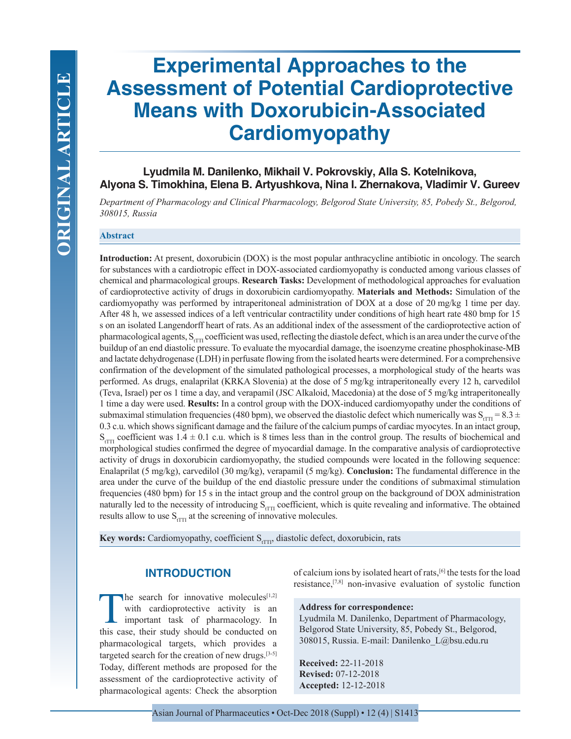# **Experimental Approaches to the Assessment of Potential Cardioprotective Means with Doxorubicin-Associated Cardiomyopathy**

# **Lyudmila M. Danilenko, Mikhail V. Pokrovskiy, Alla S. Kotelnikova, Alyona S. Timokhina, Elena B. Artyushkova, Nina I. Zhernakova, Vladimir V. Gureev**

*Department of Pharmacology and Clinical Pharmacology, Belgorod State University, 85, Pobedy St., Belgorod, 308015, Russia*

### **Abstract**

**Introduction:** At present, doxorubicin (DOX) is the most popular anthracycline antibiotic in oncology. The search for substances with a cardiotropic effect in DOX-associated cardiomyopathy is conducted among various classes of chemical and pharmacological groups. **Research Tasks:** Development of methodological approaches for evaluation of cardioprotective activity of drugs in doxorubicin cardiomyopathy. **Materials and Methods:** Simulation of the cardiomyopathy was performed by intraperitoneal administration of DOX at a dose of 20 mg/kg 1 time per day. After 48 h, we assessed indices of a left ventricular contractility under conditions of high heart rate 480 bmp for 15 s on an isolated Langendorff heart of rats. As an additional index of the assessment of the cardioprotective action of pharmacological agents,  $S_{\text{tTTI}}$  coefficient was used, reflecting the diastole defect, which is an area under the curve of the buildup of an end diastolic pressure. To evaluate the myocardial damage, the isoenzyme creatine phosphokinase-MB and lactate dehydrogenase (LDH) in perfusate flowing from the isolated hearts were determined. For a comprehensive confirmation of the development of the simulated pathological processes, a morphological study of the hearts was performed. As drugs, enalaprilat (KRKA Slovenia) at the dose of 5 mg/kg intraperitoneally every 12 h, carvedilol (Teva, Israel) per os 1 time a day, and verapamil (JSC Alkaloid, Macedonia) at the dose of 5 mg/kg intraperitoneally 1 time a day were used. **Results:** In a control group with the DOX-induced cardiomyopathy under the conditions of submaximal stimulation frequencies (480 bpm), we observed the diastolic defect which numerically was  $S_{TTT} = 8.3 \pm 1.0$ 0.3 c.u. which shows significant damage and the failure of the calcium pumps of cardiac myocytes. In an intact group,  $S_{\text{err}}$  coefficient was 1.4  $\pm$  0.1 c.u. which is 8 times less than in the control group. The results of biochemical and morphological studies confirmed the degree of myocardial damage. In the comparative analysis of cardioprotective activity of drugs in doxorubicin cardiomyopathy, the studied compounds were located in the following sequence: Enalaprilat (5 mg/kg), carvedilol (30 mg/kg), verapamil (5 mg/kg). **Conclusion:** The fundamental difference in the area under the curve of the buildup of the end diastolic pressure under the conditions of submaximal stimulation frequencies (480 bpm) for 15 s in the intact group and the control group on the background of DOX administration naturally led to the necessity of introducing  $S_{\text{TTT}}$  coefficient, which is quite revealing and informative. The obtained results allow to use  $S_{\text{fTTI}}$  at the screening of innovative molecules.

**Key words:** Cardiomyopathy, coefficient S<sub>rTT</sub>, diastolic defect, doxorubicin, rats

## **INTRODUCTION**

The search for innovative molecules<sup>[1,2]</sup> with cardioprotective activity is an important task of pharmacology. In this case, their study should be conducted on with cardioprotective activity is an important task of pharmacology. In this case, their study should be conducted on pharmacological targets, which provides a targeted search for the creation of new drugs.[3-5] Today, different methods are proposed for the assessment of the cardioprotective activity of pharmacological agents: Check the absorption

of calcium ions by isolated heart of rats,[6] the tests for the load resistance,[7,8] non-invasive evaluation of systolic function

### **Address for correspondence:**

Lyudmila M. Danilenko, Department of Pharmacology, Belgorod State University, 85, Pobedy St., Belgorod, 308015, Russia. E-mail: Danilenko\_L@bsu.edu.ru

**Received:** 22-11-2018 **Revised:** 07-12-2018 **Accepted:** 12-12-2018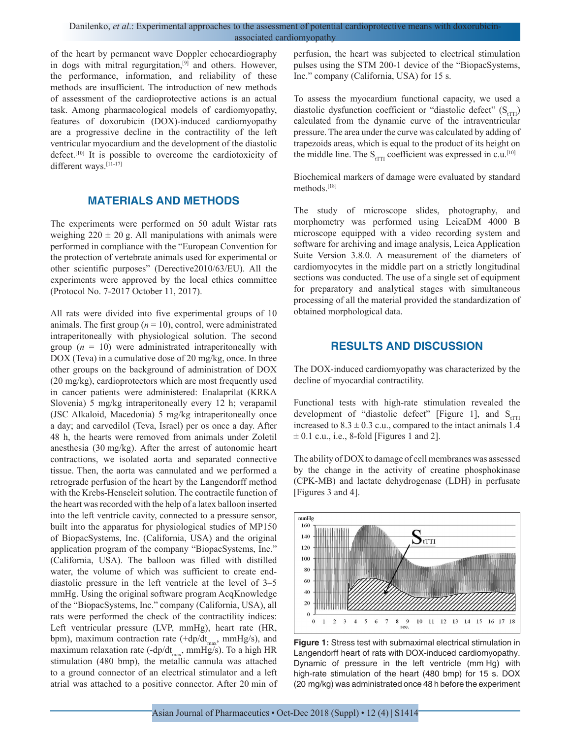of the heart by permanent wave Doppler echocardiography in dogs with mitral regurgitation,[9] and others. However, the performance, information, and reliability of these methods are insufficient. The introduction of new methods of assessment of the cardioprotective actions is an actual task. Among pharmacological models of cardiomyopathy, features of doxorubicin (DOX)-induced cardiomyopathy are a progressive decline in the contractility of the left ventricular myocardium and the development of the diastolic defect.<sup>[10]</sup> It is possible to overcome the cardiotoxicity of different ways.<sup>[11-17]</sup>

# **MATERIALS AND METHODS**

The experiments were performed on 50 adult Wistar rats weighing  $220 \pm 20$  g. All manipulations with animals were performed in compliance with the "European Convention for the protection of vertebrate animals used for experimental or other scientific purposes" (Derective2010/63/EU). All the experiments were approved by the local ethics committee (Protocol No. 7-2017 October 11, 2017).

All rats were divided into five experimental groups of 10 animals. The first group  $(n = 10)$ , control, were administrated intraperitoneally with physiological solution. The second group  $(n = 10)$  were administrated intraperitoneally with DOX (Teva) in a cumulative dose of 20 mg/kg, once. In three other groups on the background of administration of DOX (20 mg/kg), cardioprotectors which are most frequently used in cancer patients were administered: Enalaprilat (KRKA Slovenia) 5 mg/kg intraperitoneally every 12 h; verapamil (JSC Alkaloid, Macedonia) 5 mg/kg intraperitoneally once a day; and carvedilol (Teva, Israel) per os once a day. After 48 h, the hearts were removed from animals under Zoletil anesthesia (30 mg/kg). After the arrest of autonomic heart contractions, we isolated aorta and separated connective tissue. Then, the aorta was cannulated and we performed a retrograde perfusion of the heart by the Langendorff method with the Krebs-Henseleit solution. The contractile function of the heart was recorded with the help of a latex balloon inserted into the left ventricle cavity, connected to a pressure sensor, built into the apparatus for physiological studies of MP150 of BiopacSystems, Inc. (California, USA) and the original application program of the company "BiopacSystems, Inc." (California, USA). The balloon was filled with distilled water, the volume of which was sufficient to create enddiastolic pressure in the left ventricle at the level of 3–5 mmHg. Using the original software program AcqKnowledge of the "BiopacSystems, Inc." company (California, USA), all rats were performed the check of the contractility indices: Left ventricular pressure (LVP, mmHg), heart rate (HR, bpm), maximum contraction rate (+dp/dt<sub>max</sub>, mmHg/s), and maximum relaxation rate (-dp/dt<sub>max</sub>, mmHg/s). To a high HR stimulation (480 bmp), the metallic cannula was attached to a ground connector of an electrical stimulator and a left atrial was attached to a positive connector. After 20 min of perfusion, the heart was subjected to electrical stimulation pulses using the STM 200-1 device of the "BiopacSystems, Inc." company (California, USA) for 15 s.

To assess the myocardium functional capacity, we used a diastolic dysfunction coefficient or "diastolic defect"  $(S<sub>TTT</sub>)$ calculated from the dynamic curve of the intraventricular pressure. The area under the curve was calculated by adding of trapezoids areas, which is equal to the product of its height on the middle line. The  $S_{fTTI}$  coefficient was expressed in c.u.<sup>[10]</sup>

Biochemical markers of damage were evaluated by standard methods.[18]

The study of microscope slides, photography, and morphometry was performed using LeicaDM 4000 B microscope equipped with a video recording system and software for archiving and image analysis, Leica Application Suite Version 3.8.0. A measurement of the diameters of cardiomyocytes in the middle part on a strictly longitudinal sections was conducted. The use of a single set of equipment for preparatory and analytical stages with simultaneous processing of all the material provided the standardization of obtained morphological data.

## **RESULTS AND DISCUSSION**

The DOX-induced cardiomyopathy was characterized by the decline of myocardial contractility.

Functional tests with high-rate stimulation revealed the development of "diastolic defect" [Figure 1], and  $S_{\text{eff}}$ increased to  $8.3 \pm 0.3$  c.u., compared to the intact animals 1.4  $\pm$  0.1 c.u., i.e., 8-fold [Figures 1 and 2].

The ability of DOX to damage of cell membranes was assessed by the change in the activity of creatine phosphokinase (CPK-MB) and lactate dehydrogenase (LDH) in perfusate [Figures 3 and 4].



**Figure 1:** Stress test with submaximal electrical stimulation in Langendorff heart of rats with DOX-induced cardiomyopathy. Dynamic of pressure in the left ventricle (mm Hg) with high-rate stimulation of the heart (480 bmp) for 15 s. DOX (20 mg/kg) was administrated once 48 h before the experiment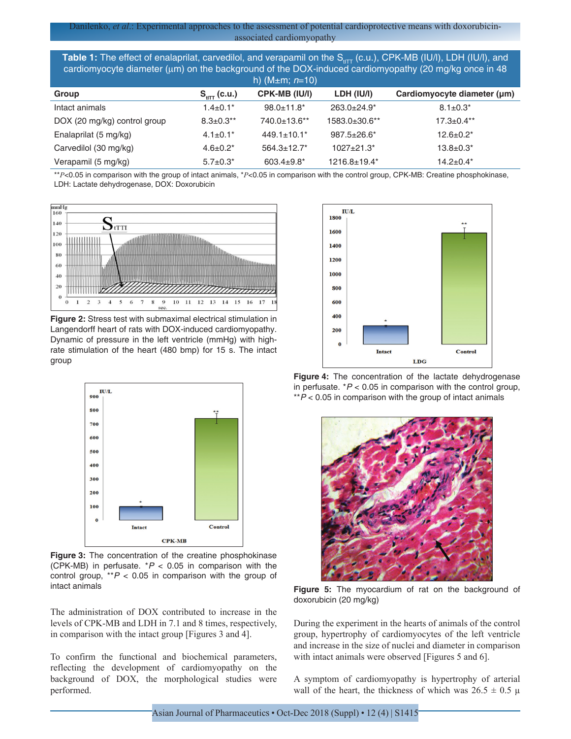**Table 1:** The effect of enalaprilat, carvedilol, and verapamil on the S<sub>tITT</sub> (c.u.), CPK-MB (IU/l), LDH (IU/l), and cardiomyocyte diameter ( $\mu$ m) on the background of the DOX-induced cardiomyopathy (20 mg/kg once in 48

|                              |                       | h) (M $\pm$ m; n=10) |                               |                             |
|------------------------------|-----------------------|----------------------|-------------------------------|-----------------------------|
| Group                        | $S_{\text{HT}}(c.u.)$ | CPK-MB (IU/I)        | LDH (IU/I)                    | Cardiomyocyte diameter (µm) |
| Intact animals               | $1.4 \pm 0.1*$        | $98.0 \pm 11.8^*$    | $263.0 \pm 24.9$ <sup>*</sup> | $8.1 \pm 0.3^*$             |
| DOX (20 mg/kg) control group | $8.3 \pm 0.3$ **      | 740.0±13.6**         | 1583.0±30.6**                 | $17.3 \pm 0.4**$            |
| Enalaprilat (5 mg/kg)        | $4.1 \pm 0.1^*$       | $449.1 \pm 10.1^*$   | $987.5 \pm 26.6^*$            | $12.6 \pm 0.2^*$            |
| Carvedilol (30 mg/kg)        | $4.6 \pm 0.2^*$       | $564.3 \pm 12.7$ *   | $1027 + 21.3*$                | $13.8 \pm 0.3^*$            |
| Verapamil (5 mg/kg)          | $5.7 \pm 0.3^*$       | $603.4 \pm 9.8^*$    | $1216.8 \pm 19.4*$            | $14.2 \pm 0.4*$             |

\*\**Р*<0.05 in comparison with the group of intact animals, \**Р*<0.05 in comparison with the control group, CPK-MB: Creatine phosphokinase, LDH: Lactate dehydrogenase, DOX: Doxorubicin



**Figure 2:** Stress test with submaximal electrical stimulation in Langendorff heart of rats with DOX-induced cardiomyopathy. Dynamic of pressure in the left ventricle (mmHg) with highrate stimulation of the heart (480 bmp) for 15 s. The intact group



**Figure 3:** The concentration of the creatine phosphokinase (CPK-MB) in perfusate. \**P* < 0.05 in comparison with the control group,  $*P < 0.05$  in comparison with the group of intact animals

The administration of DOX contributed to increase in the levels of CPK-MB and LDH in 7.1 and 8 times, respectively, in comparison with the intact group [Figures 3 and 4].

To confirm the functional and biochemical parameters, reflecting the development of cardiomyopathy on the background of DOX, the morphological studies were performed.



**Figure 4:** The concentration of the lactate dehydrogenase in perfusate. \**P* < 0.05 in comparison with the control group, \*\**P* < 0.05 in comparison with the group of intact animals



**Figure 5:** The myocardium of rat on the background of doxorubicin (20 mg/kg)

During the experiment in the hearts of animals of the control group, hypertrophy of cardiomyocytes of the left ventricle and increase in the size of nuclei and diameter in comparison with intact animals were observed [Figures 5 and 6].

A symptom of cardiomyopathy is hypertrophy of arterial wall of the heart, the thickness of which was  $26.5 \pm 0.5 \mu$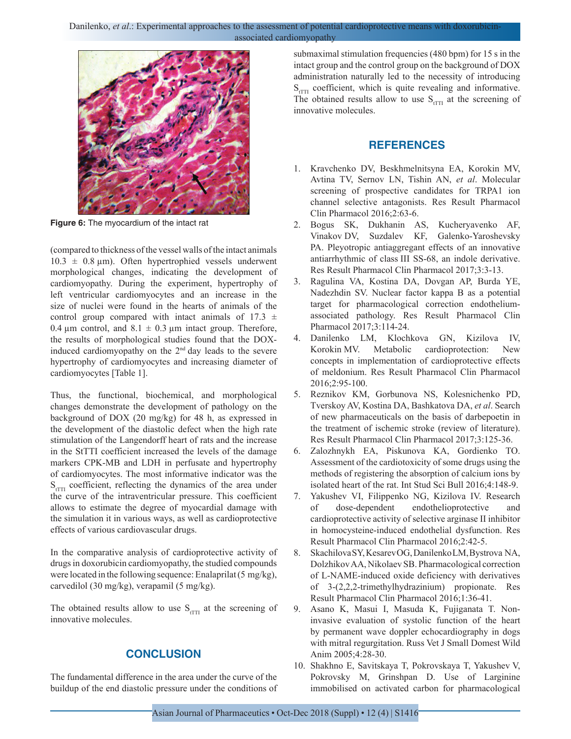Danilenko, *et al.*: Experimental approaches to the assessment of potential cardioprotective means with doxorubicin associated cardiomyopathy



**Figure 6:** The myocardium of the intact rat

(compared to thickness of the vessel walls of the intact animals  $10.3 \pm 0.8$  µm). Often hypertrophied vessels underwent morphological changes, indicating the development of cardiomyopathy. During the experiment, hypertrophy of left ventricular cardiomyocytes and an increase in the size of nuclei were found in the hearts of animals of the control group compared with intact animals of  $17.3 \pm$ 0.4  $\mu$ m control, and 8.1  $\pm$  0.3  $\mu$ m intact group. Therefore, the results of morphological studies found that the DOXinduced cardiomyopathy on the  $2<sup>nd</sup>$  day leads to the severe hypertrophy of cardiomyocytes and increasing diameter of cardiomyocytes [Table 1].

Thus, the functional, biochemical, and morphological changes demonstrate the development of pathology on the background of DOX (20 mg/kg) for 48 h, as expressed in the development of the diastolic defect when the high rate stimulation of the Langendorff heart of rats and the increase in the StТТI coefficient increased the levels of the damage markers CPK-MB and LDH in perfusate and hypertrophy of cardiomyocytes. The most informative indicator was the  $S_{\text{fTTI}}$  coefficient, reflecting the dynamics of the area under the curve of the intraventricular pressure. This coefficient allows to estimate the degree of myocardial damage with the simulation it in various ways, as well as cardioprotective effects of various cardiovascular drugs.

In the comparative analysis of cardioprotective activity of drugs in doxorubicin cardiomyopathy, the studied compounds were located in the following sequence: Enalaprilat (5 mg/kg), carvedilol (30 mg/kg), verapamil (5 mg/kg).

The obtained results allow to use  $S_{\text{tTTI}}$  at the screening of innovative molecules.

## **CONCLUSION**

The fundamental difference in the area under the curve of the buildup of the end diastolic pressure under the conditions of submaximal stimulation frequencies (480 bpm) for 15 s in the intact group and the control group on the background of DOX administration naturally led to the necessity of introducing  $S_{\text{tTTI}}$  coefficient, which is quite revealing and informative. The obtained results allow to use  $S_{fTTI}$  at the screening of innovative molecules.

# **REFERENCES**

- 1. Kravchenko DV, Beskhmelnitsyna EA, Korokin MV, Avtina TV, Sernov LN, Tishin AN, *et al*. Molecular screening of prospective candidates for TRPA1 ion channel selective antagonists. Res Result Pharmacol Clin Pharmacol 2016;2:63-6.
- 2. Bogus SK, Dukhanin AS, Kucheryavenko AF, Vinakov DV, Suzdalev KF, Galenko-Yaroshevsky PA. Pleyotropic antiaggregant effects of an innovative antiarrhythmic of class III SS-68, an indole derivative. Res Result Pharmacol Clin Pharmacol 2017;3:3-13.
- 3. Ragulina VA, Kostina DA, Dovgan AP, Burda YE, Nadezhdin SV. Nuclear factor kappa B as a potential target for pharmacological correction endotheliumassociated pathology. Res Result Pharmacol Clin Pharmacol 2017;3:114-24.
- 4. Danilenko LM, Klochkova GN, Kizilova IV, Korokin MV. Metabolic cardioprotection: New concepts in implementation of cardioprotective effects of meldonium. Res Result Pharmacol Clin Pharmacol 2016;2:95-100.
- 5. Reznikov KM, Gorbunova NS, Kolesnichenko PD, Tverskoy AV, Kostina DA, Bashkatova DA, *et al*. Search of new pharmaceuticals on the basis of darbepoetin in the treatment of ischemic stroke (review of literature). Res Result Pharmacol Clin Pharmacol 2017;3:125-36.
- 6. Zalozhnykh EA, Piskunova KA, Gordienko TO. Assessment of the cardiotoxicity of some drugs using the methods of registering the absorption of calcium ions by isolated heart of the rat. Int Stud Sci Bull 2016;4:148-9.
- 7. Yakushev VI, Filippenko NG, Kizilova IV. Research of dose-dependent endothelioprotective and cardioprotective activity of selective arginase II inhibitor in homocysteine-induced endothelial dysfunction. Res Result Pharmacol Clin Pharmacol 2016;2:42-5.
- 8. Skachilova SY, Kesarev OG, Danilenko LM, Bystrova NA, Dolzhikov AA, Nikolaev SB. Pharmacological correction of L-NAME-induced oxide deficiency with derivatives of 3-(2,2,2-trimethylhydrazinium) propionate. Res Result Pharmacol Clin Pharmacol 2016;1:36-41.
- 9. Asano K, Masui I, Masuda K, Fujiganata T. Noninvasive evaluation of systolic function of the heart by permanent wave doppler echocardiography in dogs with mitral regurgitation. Russ Vet J Small Domest Wild Anim 2005;4:28-30.
- 10. Shakhno E, Savitskaya T, Pokrovskaya T, Yakushev V, Pokrovsky M, Grinshpan D. Use of Larginine immobilised on activated carbon for pharmacological